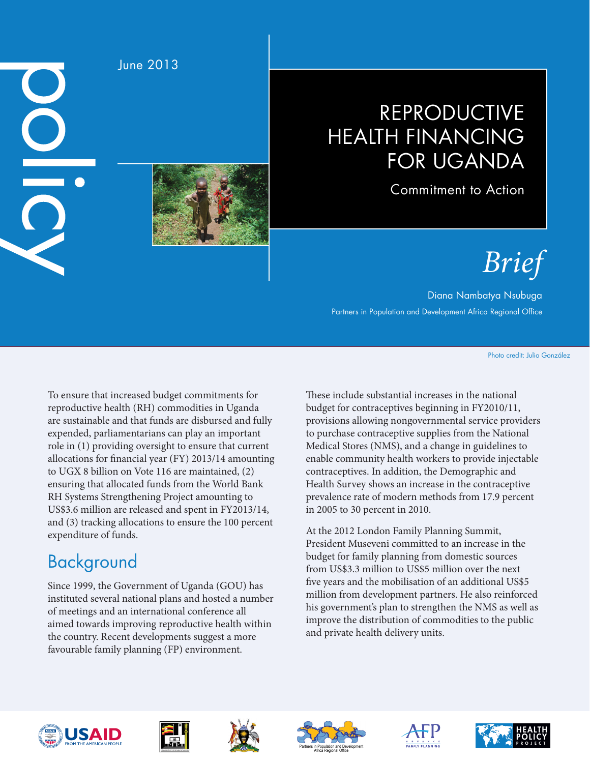$\underline{\mathsf{O}}$  $\overline{\textbf{O}}$ 

June 2013

## REPRODUCTIVE HEALTH FINANCING FOR UGANDA

Commitment to Action

# *Brief*

Diana Nambatya Nsubuga Partners in Population and Development Africa Regional Office

Photo credit: Julio González

To ensure that increased budget commitments for reproductive health (RH) commodities in Uganda are sustainable and that funds are disbursed and fully expended, parliamentarians can play an important role in (1) providing oversight to ensure that current allocations for financial year (FY) 2013/14 amounting to UGX 8 billion on Vote 116 are maintained, (2) ensuring that allocated funds from the World Bank RH Systems Strengthening Project amounting to US\$3.6 million are released and spent in FY2013/14, and (3) tracking allocations to ensure the 100 percent expenditure of funds.

### Background

Since 1999, the Government of Uganda (GOU) has instituted several national plans and hosted a number of meetings and an international conference all aimed towards improving reproductive health within the country. Recent developments suggest a more favourable family planning (FP) environment.

These include substantial increases in the national budget for contraceptives beginning in FY2010/11, provisions allowing nongovernmental service providers to purchase contraceptive supplies from the National Medical Stores (NMS), and a change in guidelines to enable community health workers to provide injectable contraceptives. In addition, the Demographic and Health Survey shows an increase in the contraceptive prevalence rate of modern methods from 17.9 percent in 2005 to 30 percent in 2010.

At the 2012 London Family Planning Summit, President Museveni committed to an increase in the budget for family planning from domestic sources from US\$3.3 million to US\$5 million over the next five years and the mobilisation of an additional US\$5 million from development partners. He also reinforced his government's plan to strengthen the NMS as well as improve the distribution of commodities to the public and private health delivery units.











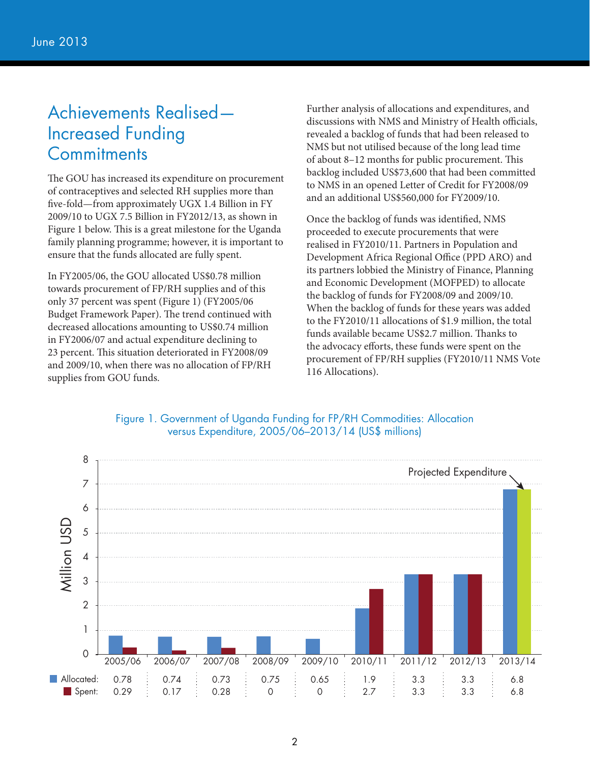### Achievements Realised— Increased Funding **Commitments**

The GOU has increased its expenditure on procurement of contraceptives and selected RH supplies more than five-fold—from approximately UGX 1.4 Billion in FY 2009/10 to UGX 7.5 Billion in FY2012/13, as shown in Figure 1 below. This is a great milestone for the Uganda family planning programme; however, it is important to ensure that the funds allocated are fully spent.

In FY2005/06, the GOU allocated US\$0.78 million towards procurement of FP/RH supplies and of this only 37 percent was spent (Figure 1) (FY2005/06 Budget Framework Paper). The trend continued with decreased allocations amounting to US\$0.74 million in FY2006/07 and actual expenditure declining to 23 percent. This situation deteriorated in FY2008/09 and 2009/10, when there was no allocation of FP/RH supplies from GOU funds.

Further analysis of allocations and expenditures, and discussions with NMS and Ministry of Health officials, revealed a backlog of funds that had been released to NMS but not utilised because of the long lead time of about 8–12 months for public procurement. This backlog included US\$73,600 that had been committed to NMS in an opened Letter of Credit for FY2008/09 and an additional US\$560,000 for FY2009/10.

Once the backlog of funds was identified, NMS proceeded to execute procurements that were realised in FY2010/11. Partners in Population and Development Africa Regional Office (PPD ARO) and its partners lobbied the Ministry of Finance, Planning and Economic Development (MOFPED) to allocate the backlog of funds for FY2008/09 and 2009/10. When the backlog of funds for these years was added to the FY2010/11 allocations of \$1.9 million, the total funds available became US\$2.7 million. Thanks to the advocacy efforts, these funds were spent on the procurement of FP/RH supplies (FY2010/11 NMS Vote 116 Allocations).



#### Figure 1. Government of Uganda Funding for FP/RH Commodities: Allocation versus Expenditure, 2005/06–2013/14 (US\$ millions)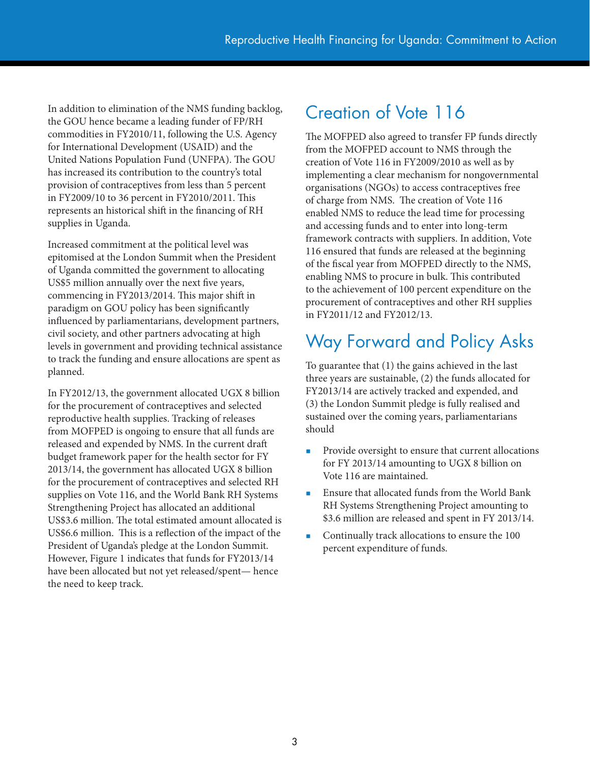In addition to elimination of the NMS funding backlog, the GOU hence became a leading funder of FP/RH commodities in FY2010/11, following the U.S. Agency for International Development (USAID) and the United Nations Population Fund (UNFPA). The GOU has increased its contribution to the country's total provision of contraceptives from less than 5 percent in FY2009/10 to 36 percent in FY2010/2011. This represents an historical shift in the financing of RH supplies in Uganda.

Increased commitment at the political level was epitomised at the London Summit when the President of Uganda committed the government to allocating US\$5 million annually over the next five years, commencing in FY2013/2014. This major shift in paradigm on GOU policy has been significantly influenced by parliamentarians, development partners, civil society, and other partners advocating at high levels in government and providing technical assistance to track the funding and ensure allocations are spent as planned.

In FY2012/13, the government allocated UGX 8 billion for the procurement of contraceptives and selected reproductive health supplies. Tracking of releases from MOFPED is ongoing to ensure that all funds are released and expended by NMS. In the current draft budget framework paper for the health sector for FY 2013/14, the government has allocated UGX 8 billion for the procurement of contraceptives and selected RH supplies on Vote 116, and the World Bank RH Systems Strengthening Project has allocated an additional US\$3.6 million. The total estimated amount allocated is US\$6.6 million. This is a reflection of the impact of the President of Uganda's pledge at the London Summit. However, Figure 1 indicates that funds for FY2013/14 have been allocated but not yet released/spent— hence the need to keep track.

### Creation of Vote 116

The MOFPED also agreed to transfer FP funds directly from the MOFPED account to NMS through the creation of Vote 116 in FY2009/2010 as well as by implementing a clear mechanism for nongovernmental organisations (NGOs) to access contraceptives free of charge from NMS. The creation of Vote 116 enabled NMS to reduce the lead time for processing and accessing funds and to enter into long-term framework contracts with suppliers. In addition, Vote 116 ensured that funds are released at the beginning of the fiscal year from MOFPED directly to the NMS, enabling NMS to procure in bulk. This contributed to the achievement of 100 percent expenditure on the procurement of contraceptives and other RH supplies in FY2011/12 and FY2012/13.

### Way Forward and Policy Asks

To guarantee that (1) the gains achieved in the last three years are sustainable, (2) the funds allocated for FY2013/14 are actively tracked and expended, and (3) the London Summit pledge is fully realised and sustained over the coming years, parliamentarians should

- Provide oversight to ensure that current allocations for FY 2013/14 amounting to UGX 8 billion on Vote 116 are maintained.
- Ensure that allocated funds from the World Bank RH Systems Strengthening Project amounting to \$3.6 million are released and spent in FY 2013/14.
- **Continually track allocations to ensure the 100** percent expenditure of funds.